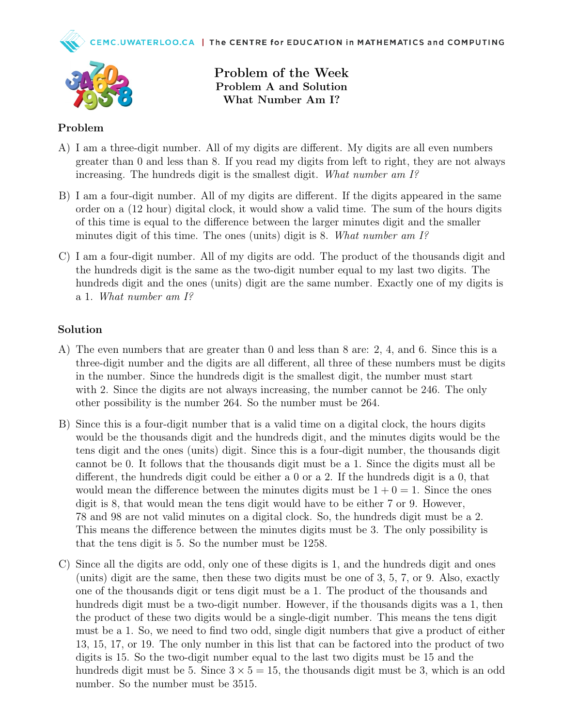



Problem of the Week Problem A and Solution What Number Am I?

## Problem

- A) I am a three-digit number. All of my digits are different. My digits are all even numbers greater than 0 and less than 8. If you read my digits from left to right, they are not always increasing. The hundreds digit is the smallest digit. What number am I?
- B) I am a four-digit number. All of my digits are different. If the digits appeared in the same order on a (12 hour) digital clock, it would show a valid time. The sum of the hours digits of this time is equal to the difference between the larger minutes digit and the smaller minutes digit of this time. The ones (units) digit is 8. What number am  $I^{\circ}$
- C) I am a four-digit number. All of my digits are odd. The product of the thousands digit and the hundreds digit is the same as the two-digit number equal to my last two digits. The hundreds digit and the ones (units) digit are the same number. Exactly one of my digits is a 1. What number am I?

## Solution

- A) The even numbers that are greater than 0 and less than 8 are: 2, 4, and 6. Since this is a three-digit number and the digits are all different, all three of these numbers must be digits in the number. Since the hundreds digit is the smallest digit, the number must start with 2. Since the digits are not always increasing, the number cannot be 246. The only other possibility is the number 264. So the number must be 264.
- B) Since this is a four-digit number that is a valid time on a digital clock, the hours digits would be the thousands digit and the hundreds digit, and the minutes digits would be the tens digit and the ones (units) digit. Since this is a four-digit number, the thousands digit cannot be 0. It follows that the thousands digit must be a 1. Since the digits must all be different, the hundreds digit could be either a 0 or a 2. If the hundreds digit is a 0, that would mean the difference between the minutes digits must be  $1 + 0 = 1$ . Since the ones digit is 8, that would mean the tens digit would have to be either 7 or 9. However, 78 and 98 are not valid minutes on a digital clock. So, the hundreds digit must be a 2. This means the difference between the minutes digits must be 3. The only possibility is that the tens digit is 5. So the number must be 1258.
- C) Since all the digits are odd, only one of these digits is 1, and the hundreds digit and ones (units) digit are the same, then these two digits must be one of 3, 5, 7, or 9. Also, exactly one of the thousands digit or tens digit must be a 1. The product of the thousands and hundreds digit must be a two-digit number. However, if the thousands digits was a 1, then the product of these two digits would be a single-digit number. This means the tens digit must be a 1. So, we need to find two odd, single digit numbers that give a product of either 13, 15, 17, or 19. The only number in this list that can be factored into the product of two digits is 15. So the two-digit number equal to the last two digits must be 15 and the hundreds digit must be 5. Since  $3 \times 5 = 15$ , the thousands digit must be 3, which is an odd number. So the number must be 3515.